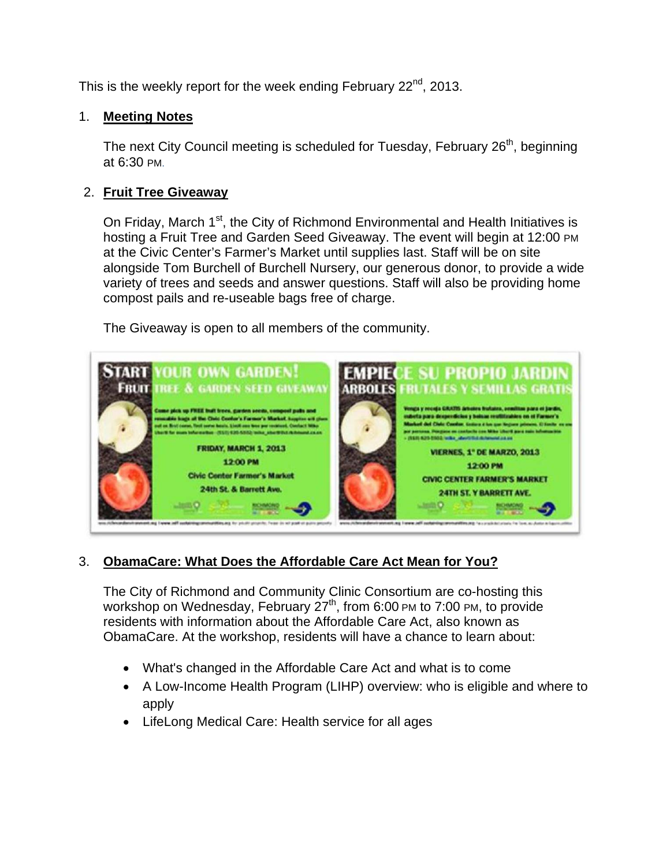This is the weekly report for the week ending February  $22^{nd}$ , 2013.

## 1. **Meeting Notes**

The next City Council meeting is scheduled for Tuesday, February  $26<sup>th</sup>$ , beginning at 6:30 PM.

# 2. **Fruit Tree Giveaway**

On Friday, March 1<sup>st</sup>, the City of Richmond Environmental and Health Initiatives is hosting a Fruit Tree and Garden Seed Giveaway. The event will begin at 12:00 PM at the Civic Center's Farmer's Market until supplies last. Staff will be on site alongside Tom Burchell of Burchell Nursery, our generous donor, to provide a wide variety of trees and seeds and answer questions. Staff will also be providing home compost pails and re-useable bags free of charge.

The Giveaway is open to all members of the community.



# 3. **ObamaCare: What Does the Affordable Care Act Mean for You?**

The City of Richmond and Community Clinic Consortium are co-hosting this workshop on Wednesday, February 27<sup>th</sup>, from 6:00 PM to 7:00 PM, to provide residents with information about the Affordable Care Act, also known as ObamaCare. At the workshop, residents will have a chance to learn about:

- What's changed in the Affordable Care Act and what is to come
- A Low-Income Health Program (LIHP) overview: who is eligible and where to apply
- LifeLong Medical Care: Health service for all ages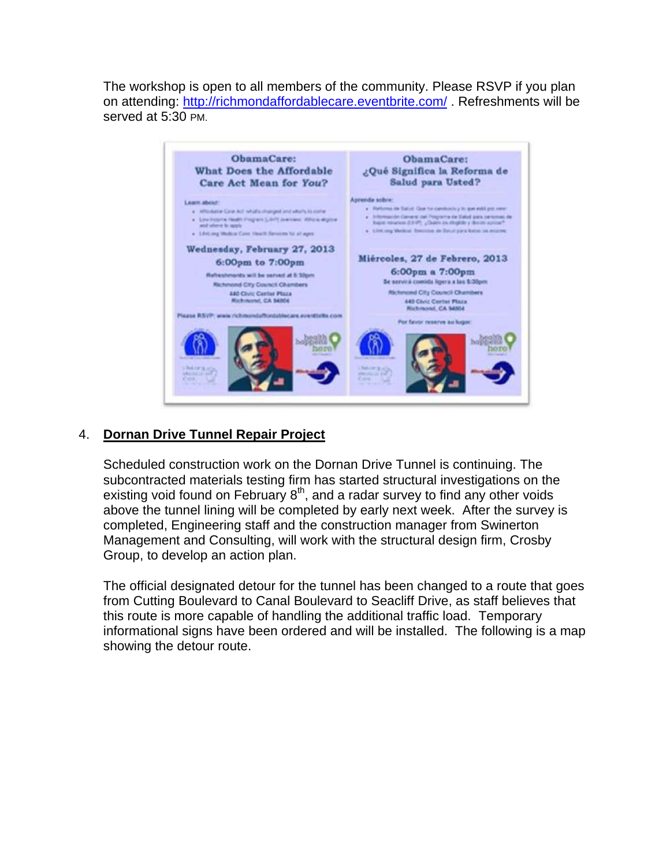The workshop is open to all members of the community. Please RSVP if you plan on attending: http://richmondaffordablecare.eventbrite.com/. Refreshments will be served at 5:30 PM.



## 4. **Dornan Drive Tunnel Repair Project**

Scheduled construction work on the Dornan Drive Tunnel is continuing. The subcontracted materials testing firm has started structural investigations on the existing void found on February  $8<sup>th</sup>$ , and a radar survey to find any other voids above the tunnel lining will be completed by early next week. After the survey is completed, Engineering staff and the construction manager from Swinerton Management and Consulting, will work with the structural design firm, Crosby Group, to develop an action plan.

The official designated detour for the tunnel has been changed to a route that goes from Cutting Boulevard to Canal Boulevard to Seacliff Drive, as staff believes that this route is more capable of handling the additional traffic load. Temporary informational signs have been ordered and will be installed. The following is a map showing the detour route.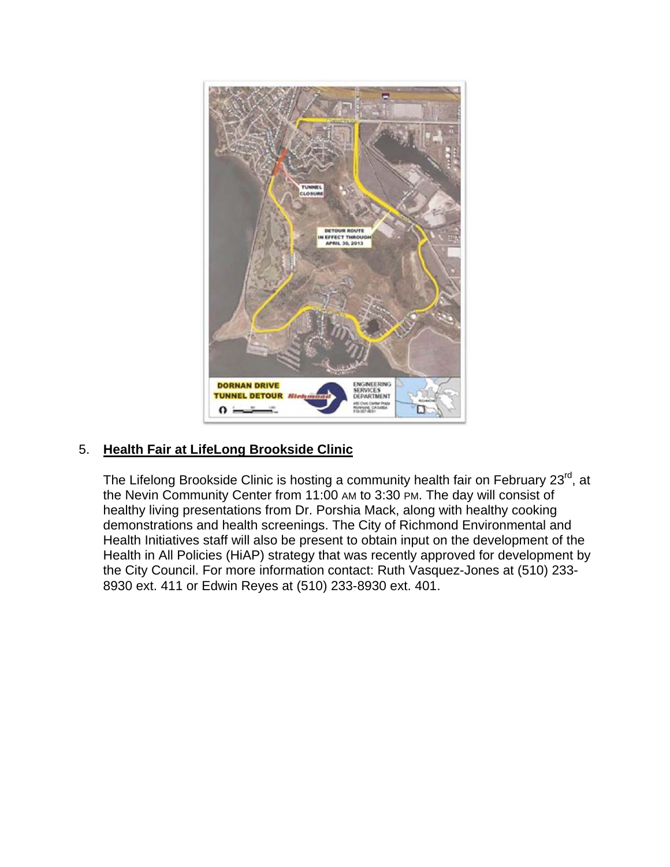

## 5. **Health Fair at LifeLong Brookside Clinic**

The Lifelong Brookside Clinic is hosting a community health fair on February 23<sup>rd</sup>, at the Nevin Community Center from 11:00 AM to 3:30 PM. The day will consist of healthy living presentations from Dr. Porshia Mack, along with healthy cooking demonstrations and health screenings. The City of Richmond Environmental and Health Initiatives staff will also be present to obtain input on the development of the Health in All Policies (HiAP) strategy that was recently approved for development by the City Council. For more information contact: Ruth Vasquez-Jones at (510) 233- 8930 ext. 411 or Edwin Reyes at (510) 233-8930 ext. 401.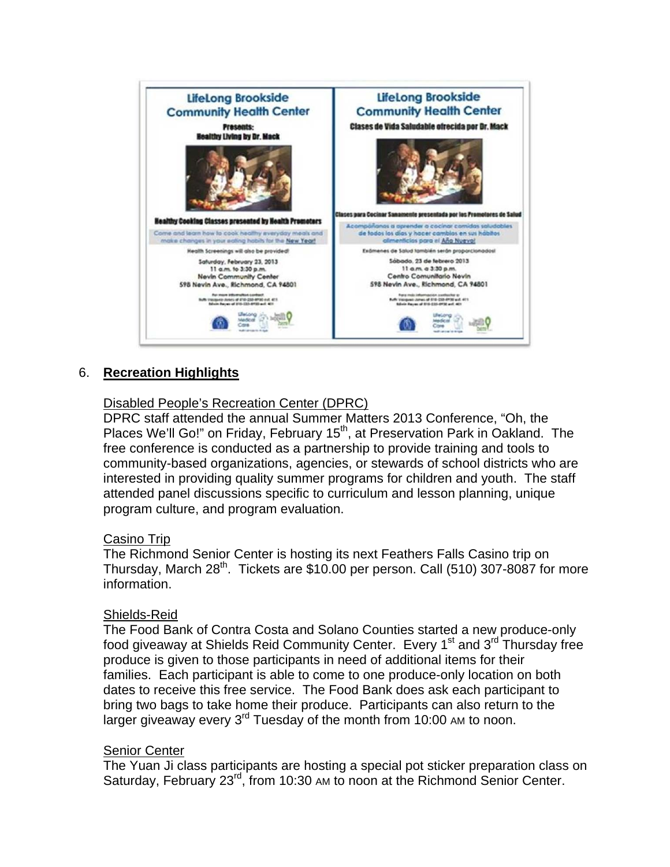

#### 6. **Recreation Highlights**

### Disabled People's Recreation Center (DPRC)

DPRC staff attended the annual Summer Matters 2013 Conference, "Oh, the Places We'll Go!" on Friday, February 15<sup>th</sup>, at Preservation Park in Oakland. The free conference is conducted as a partnership to provide training and tools to community-based organizations, agencies, or stewards of school districts who are interested in providing quality summer programs for children and youth. The staff attended panel discussions specific to curriculum and lesson planning, unique program culture, and program evaluation.

#### Casino Trip

The Richmond Senior Center is hosting its next Feathers Falls Casino trip on Thursday, March  $28^{th}$ . Tickets are \$10.00 per person. Call (510) 307-8087 for more information.

#### Shields-Reid

The Food Bank of Contra Costa and Solano Counties started a new produce-only food giveaway at Shields Reid Community Center. Every 1<sup>st</sup> and 3<sup>rd</sup> Thursday free produce is given to those participants in need of additional items for their families. Each participant is able to come to one produce-only location on both dates to receive this free service. The Food Bank does ask each participant to bring two bags to take home their produce. Participants can also return to the larger giveaway every  $3^{rd}$  Tuesday of the month from 10:00 AM to noon.

#### **Senior Center**

The Yuan Ji class participants are hosting a special pot sticker preparation class on Saturday, February 23<sup>rd</sup>, from 10:30 AM to noon at the Richmond Senior Center.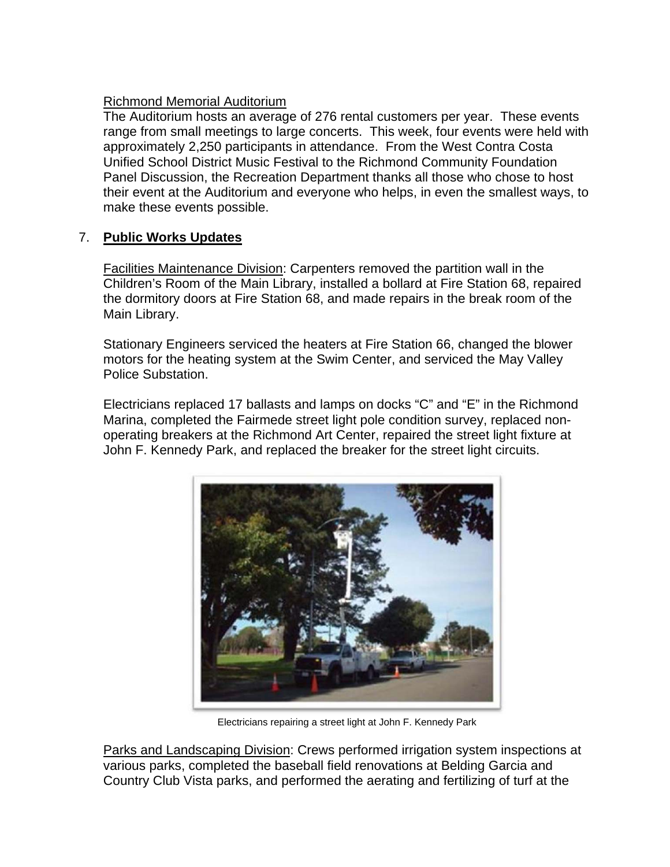## Richmond Memorial Auditorium

The Auditorium hosts an average of 276 rental customers per year. These events range from small meetings to large concerts. This week, four events were held with approximately 2,250 participants in attendance. From the West Contra Costa Unified School District Music Festival to the Richmond Community Foundation Panel Discussion, the Recreation Department thanks all those who chose to host their event at the Auditorium and everyone who helps, in even the smallest ways, to make these events possible.

## 7. **Public Works Updates**

Facilities Maintenance Division: Carpenters removed the partition wall in the Children's Room of the Main Library, installed a bollard at Fire Station 68, repaired the dormitory doors at Fire Station 68, and made repairs in the break room of the Main Library.

Stationary Engineers serviced the heaters at Fire Station 66, changed the blower motors for the heating system at the Swim Center, and serviced the May Valley Police Substation.

Electricians replaced 17 ballasts and lamps on docks "C" and "E" in the Richmond Marina, completed the Fairmede street light pole condition survey, replaced nonoperating breakers at the Richmond Art Center, repaired the street light fixture at John F. Kennedy Park, and replaced the breaker for the street light circuits.



Electricians repairing a street light at John F. Kennedy Park

Parks and Landscaping Division: Crews performed irrigation system inspections at various parks, completed the baseball field renovations at Belding Garcia and Country Club Vista parks, and performed the aerating and fertilizing of turf at the